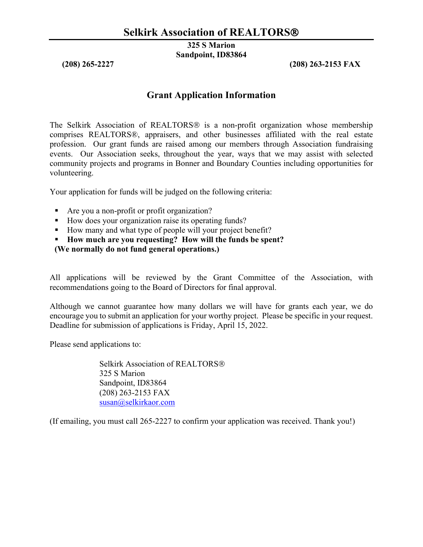**325 S Marion Sandpoint, ID83864**

**(208) 265-2227 (208) 263-2153 FAX**

## **Grant Application Information**

The Selkirk Association of REALTORS<sup>®</sup> is a non-profit organization whose membership comprises REALTORS®, appraisers, and other businesses affiliated with the real estate profession. Our grant funds are raised among our members through Association fundraising events. Our Association seeks, throughout the year, ways that we may assist with selected community projects and programs in Bonner and Boundary Counties including opportunities for volunteering.

Your application for funds will be judged on the following criteria:

- Are you a non-profit or profit organization?
- How does your organization raise its operating funds?
- How many and what type of people will your project benefit?
- **How much are you requesting? How will the funds be spent?**
- **(We normally do not fund general operations.)**

All applications will be reviewed by the Grant Committee of the Association, with recommendations going to the Board of Directors for final approval.

Although we cannot guarantee how many dollars we will have for grants each year, we do encourage you to submit an application for your worthy project. Please be specific in your request. Deadline for submission of applications is Friday, April 15, 2022.

Please send applications to:

Selkirk Association of REALTORS 325 S Marion Sandpoint, ID83864 (208) 263-2153 FAX  $susan@selkirka$ or.com

(If emailing, you must call 265-2227 to confirm your application was received. Thank you!)